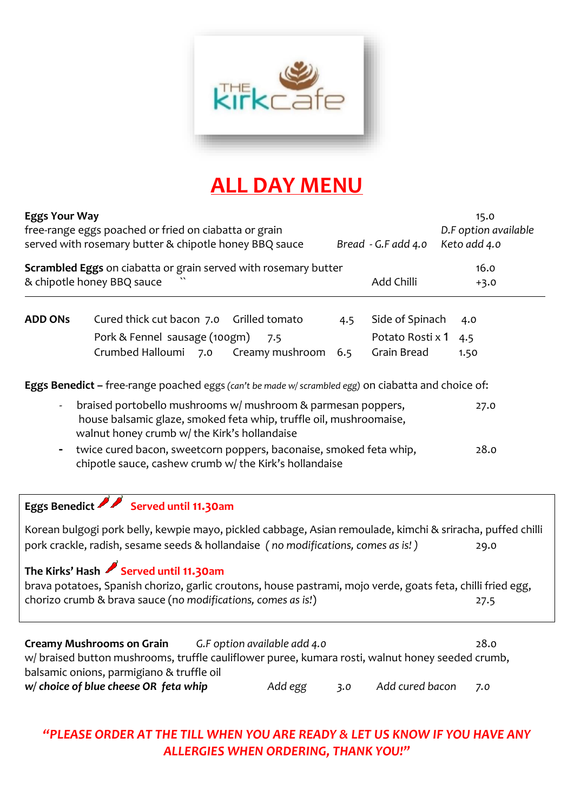

# **ALL DAY MENU**

| <b>Eggs Your Way</b><br>free-range eggs poached or fried on ciabatta or grain<br>served with rosemary butter & chipotle honey BBQ sauce<br>Bread - G.F add 4.0                                                                                                                                                                                                                                                                                              |                                                                                                                                                                                                                                       |                        |            |                                                    | 15.0<br>D.F option available<br>Keto add 4.0 |
|-------------------------------------------------------------------------------------------------------------------------------------------------------------------------------------------------------------------------------------------------------------------------------------------------------------------------------------------------------------------------------------------------------------------------------------------------------------|---------------------------------------------------------------------------------------------------------------------------------------------------------------------------------------------------------------------------------------|------------------------|------------|----------------------------------------------------|----------------------------------------------|
|                                                                                                                                                                                                                                                                                                                                                                                                                                                             | Scrambled Eggs on ciabatta or grain served with rosemary butter<br>& chipotle honey BBQ sauce                                                                                                                                         |                        |            | Add Chilli                                         | 16.0<br>$+3.0$                               |
| <b>ADD ONS</b>                                                                                                                                                                                                                                                                                                                                                                                                                                              | Cured thick cut bacon 7.0 Grilled tomato<br>Pork & Fennel sausage (100gm)<br>Crumbed Halloumi 7.0                                                                                                                                     | 7.5<br>Creamy mushroom | 4.5<br>6.5 | Side of Spinach<br>Potato Rosti x 1<br>Grain Bread | 4.0<br>4.5<br>1.50                           |
| Eggs Benedict - free-range poached eggs (can't be made w/ scrambled egg) on ciabatta and choice of:<br>braised portobello mushrooms w/ mushroom & parmesan poppers,<br>27.0<br>house balsamic glaze, smoked feta whip, truffle oil, mushroomaise,<br>walnut honey crumb w/ the Kirk's hollandaise<br>twice cured bacon, sweetcorn poppers, baconaise, smoked feta whip,<br>28.0<br>$\blacksquare$<br>chipotle sauce, cashew crumb w/ the Kirk's hollandaise |                                                                                                                                                                                                                                       |                        |            |                                                    |                                              |
|                                                                                                                                                                                                                                                                                                                                                                                                                                                             | Eggs Benedict Served until 11.30am<br>Korean bulgogi pork belly, kewpie mayo, pickled cabbage, Asian remoulade, kimchi & sriracha, puffed chilli<br>pork crackle, radish, sesame seeds & hollandaise (no modifications, comes as is!) |                        |            |                                                    | 29.0                                         |
|                                                                                                                                                                                                                                                                                                                                                                                                                                                             | The Kirks' Hash Served until 11.30am<br>brava potatoes, Spanish chorizo, garlic croutons, house pastrami, mojo verde, goats feta, chilli fried egg,<br>chorizo crumb & brava sauce (no modifications, comes as is!)                   |                        |            |                                                    | 27.5                                         |

| <b>Creamy Mushrooms on Grain</b>                                                                | G.F option available add 4.0 | 28.0                   |
|-------------------------------------------------------------------------------------------------|------------------------------|------------------------|
| w/braised button mushrooms, truffle cauliflower puree, kumara rosti, walnut honey seeded crumb, |                              |                        |
| balsamic onions, parmigiano & truffle oil                                                       |                              |                        |
| w/ choice of blue cheese OR feta whip                                                           | Add egg<br>3.0               | Add cured bacon<br>7.0 |

## *"PLEASE ORDER AT THE TILL WHEN YOU ARE READY & LET US KNOW IF YOU HAVE ANY ALLERGIES WHEN ORDERING, THANK YOU!"*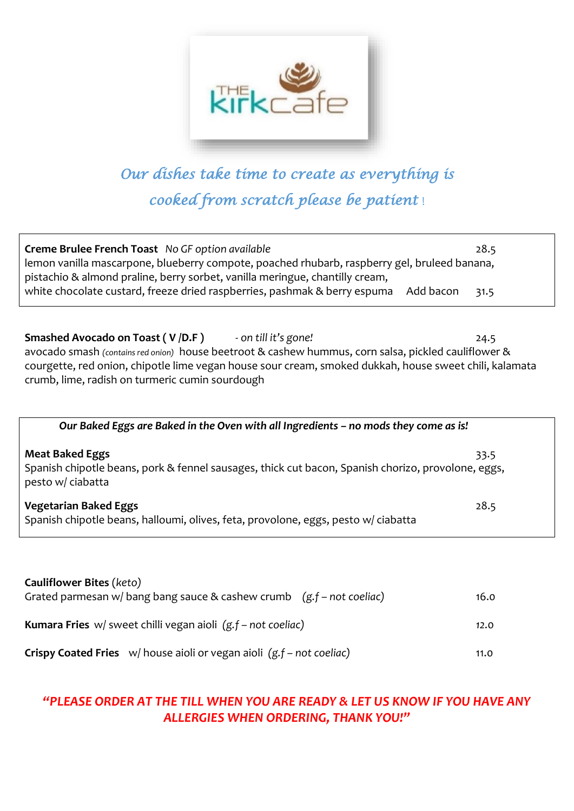

# *Our dishes take time to create as everything is cooked from scratch please be patient* !

| Creme Brulee French Toast No GF option available<br>lemon vanilla mascarpone, blueberry compote, poached rhubarb, raspberry gel, bruleed banana,<br>pistachio & almond praline, berry sorbet, vanilla meringue, chantilly cream,<br>white chocolate custard, freeze dried raspberries, pashmak & berry espuma<br>Add bacon        | 28.5<br>31.5 |
|-----------------------------------------------------------------------------------------------------------------------------------------------------------------------------------------------------------------------------------------------------------------------------------------------------------------------------------|--------------|
| <b>Smashed Avocado on Toast (V/D.F)</b> - on till it's gone!<br>avocado smash (contains red onion) house beetroot & cashew hummus, corn salsa, pickled cauliflower &<br>courgette, red onion, chipotle lime vegan house sour cream, smoked dukkah, house sweet chili, kalamata<br>crumb, lime, radish on turmeric cumin sourdough | 24.5         |
| Our Baked Eggs are Baked in the Oven with all Ingredients - no mods they come as is!                                                                                                                                                                                                                                              |              |
| <b>Meat Baked Eggs</b><br>Spanish chipotle beans, pork & fennel sausages, thick cut bacon, Spanish chorizo, provolone, eggs,<br>pesto w/ ciabatta                                                                                                                                                                                 | 33.5         |
| <b>Vegetarian Baked Eggs</b><br>Spanish chipotle beans, halloumi, olives, feta, provolone, eggs, pesto w/ ciabatta                                                                                                                                                                                                                | 28.5         |
|                                                                                                                                                                                                                                                                                                                                   |              |

| <b>Cauliflower Bites (keto)</b>                                                  |      |
|----------------------------------------------------------------------------------|------|
| Grated parmesan w/ bang bang sauce & cashew crumb $(g.f - not coeliac)$          | 16.0 |
|                                                                                  |      |
| <b>Kumara Fries</b> $w/$ sweet chilli vegan aioli $(g.f - not coeliac)$          | 12.0 |
|                                                                                  |      |
|                                                                                  |      |
| <b>Crispy Coated Fries</b> $w/$ house aioli or vegan aioli $(g.f - not coeliac)$ | 11.0 |

## *"PLEASE ORDER AT THE TILL WHEN YOU ARE READY & LET US KNOW IF YOU HAVE ANY ALLERGIES WHEN ORDERING, THANK YOU!"*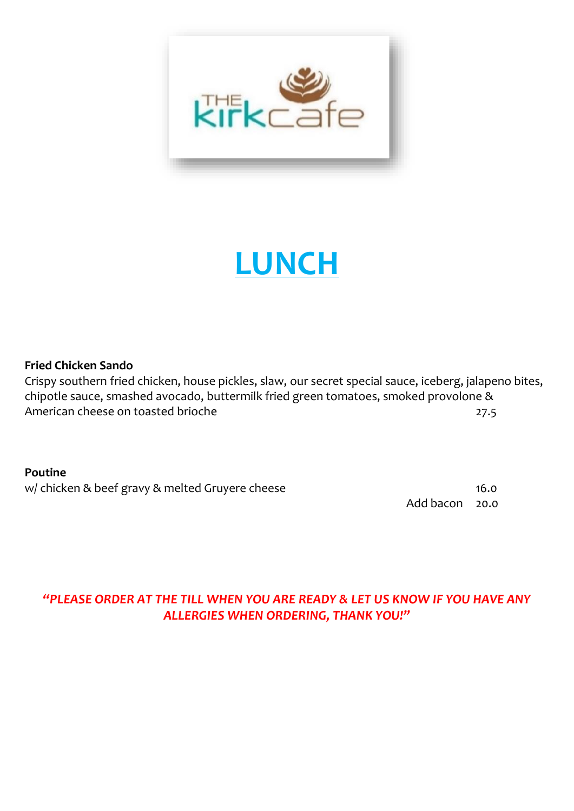

# **LUNCH**

#### **Fried Chicken Sando**

Crispy southern fried chicken, house pickles, slaw, our secret special sauce, iceberg, jalapeno bites, chipotle sauce, smashed avocado, buttermilk fried green tomatoes, smoked provolone & American cheese on toasted brioche 27.5

#### **Poutine**

w/ chicken & beef gravy & melted Gruyere cheese 16.0

Add bacon 20.0

## *"PLEASE ORDER AT THE TILL WHEN YOU ARE READY & LET US KNOW IF YOU HAVE ANY ALLERGIES WHEN ORDERING, THANK YOU!"*